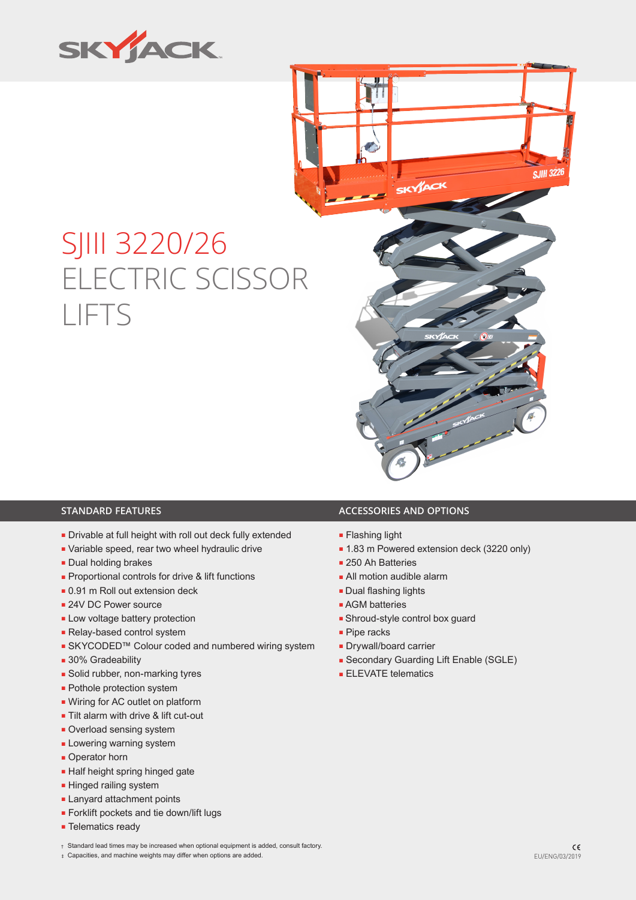

# SJIII 3220/26 ELECTRIC SCISSOR LIFTS



- Drivable at full height with roll out deck fully extended
- Variable speed, rear two wheel hydraulic drive
- Dual holding brakes
- Proportional controls for drive & lift functions
- 0.91 m Roll out extension deck
- 24V DC Power source
- Low voltage battery protection
- Relay-based control system
- SKYCODED™ Colour coded and numbered wiring system
- 30% Gradeability
- Solid rubber, non-marking tyres
- Pothole protection system
- Wiring for AC outlet on platform
- Tilt alarm with drive & lift cut-out
- Overload sensing system
- **Lowering warning system**
- Operator horn
- Half height spring hinged gate
- Hinged railing system
- Lanyard attachment points
- Forklift pockets and tie down/lift lugs
- Telematics ready

## **STANDARD FEATURES ACCESSORIES AND OPTIONS**

- Flashing light
- 1.83 m Powered extension deck (3220 only)
- 250 Ah Batteries
- All motion audible alarm
- Dual flashing lights
- AGM batteries
- Shroud-style control box guard
- Pipe racks
- Drywall/board carrier
- Secondary Guarding Lift Enable (SGLE)
- ELEVATE telematics

- † Standard lead times may be increased when optional equipment is added, consult factory.
- ‡ Capacities, and machine weights may differ when options are added. EU/ENG/03/2019